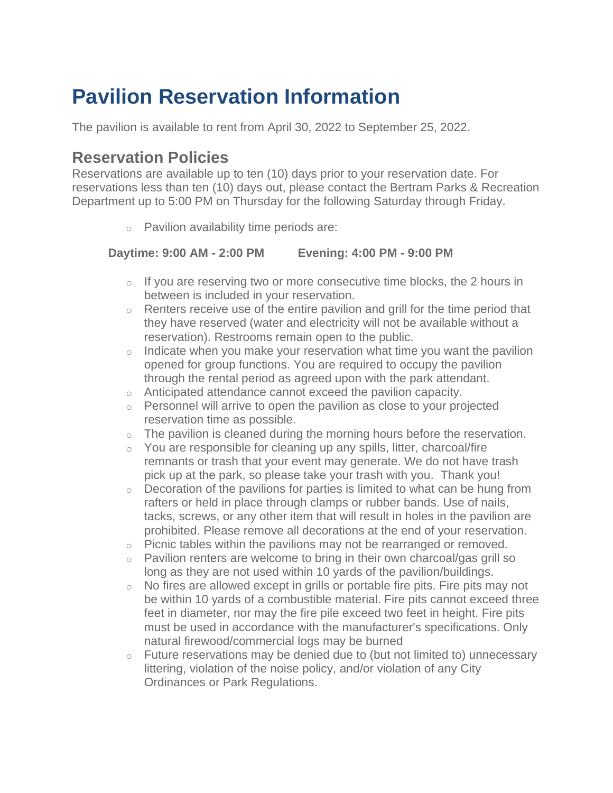# **Pavilion Reservation Information**

The pavilion is available to rent from April 30, 2022 to September 25, 2022.

### **Reservation Policies**

Reservations are available up to ten (10) days prior to your reservation date. For reservations less than ten (10) days out, please contact the Bertram Parks & Recreation Department up to 5:00 PM on Thursday for the following Saturday through Friday.

o Pavilion availability time periods are:

#### **Daytime: 9:00 AM - 2:00 PM Evening: 4:00 PM - 9:00 PM**

- $\circ$  If you are reserving two or more consecutive time blocks, the 2 hours in between is included in your reservation.
- $\circ$  Renters receive use of the entire pavilion and grill for the time period that they have reserved (water and electricity will not be available without a reservation). Restrooms remain open to the public.
- $\circ$  Indicate when you make your reservation what time you want the pavilion opened for group functions. You are required to occupy the pavilion through the rental period as agreed upon with the park attendant.
- o Anticipated attendance cannot exceed the pavilion capacity.
- $\circ$  Personnel will arrive to open the pavilion as close to your projected reservation time as possible.
- $\circ$  The pavilion is cleaned during the morning hours before the reservation.
- $\circ$  You are responsible for cleaning up any spills, litter, charcoal/fire remnants or trash that your event may generate. We do not have trash pick up at the park, so please take your trash with you. Thank you!
- $\circ$  Decoration of the pavilions for parties is limited to what can be hung from rafters or held in place through clamps or rubber bands. Use of nails, tacks, screws, or any other item that will result in holes in the pavilion are prohibited. Please remove all decorations at the end of your reservation.
- $\circ$  Picnic tables within the pavilions may not be rearranged or removed.
- o Pavilion renters are welcome to bring in their own charcoal/gas grill so long as they are not used within 10 yards of the pavilion/buildings.
- $\circ$  No fires are allowed except in grills or portable fire pits. Fire pits may not be within 10 yards of a combustible material. Fire pits cannot exceed three feet in diameter, nor may the fire pile exceed two feet in height. Fire pits must be used in accordance with the manufacturer's specifications. Only natural firewood/commercial logs may be burned
- $\circ$  Future reservations may be denied due to (but not limited to) unnecessary littering, violation of the noise policy, and/or violation of any City Ordinances or Park Regulations.